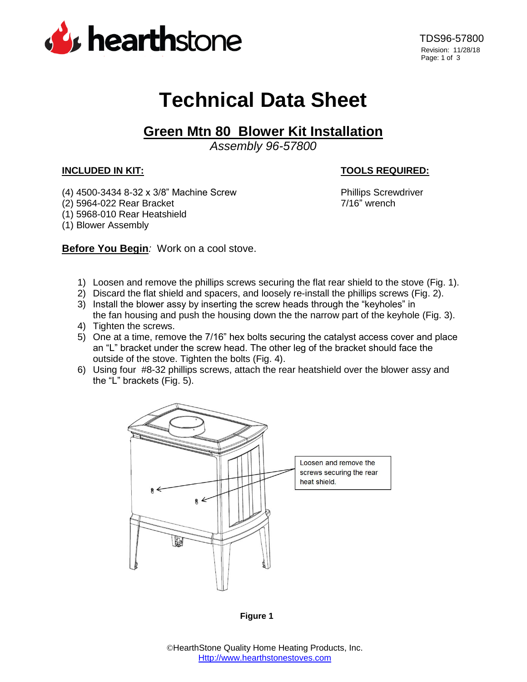

## **Technical Data Sheet**

## **Green Mtn 80 Blower Kit Installation**

*Assembly 96-57800*

## **INCLUDED IN KIT: TOOLS REQUIRED:**

- (4) 4500-3434 8-32 x 3/8" Machine Screw Phillips Screwdriver
- (2) 5964-022 Rear Bracket 7/16" wrench
- (1) 5968-010 Rear Heatshield
- (1) Blower Assembly

**Before You Begin***:* Work on a cool stove.

- 1) Loosen and remove the phillips screws securing the flat rear shield to the stove (Fig. 1).
- 2) Discard the flat shield and spacers, and loosely re-install the phillips screws (Fig. 2).
- 3) Install the blower assy by inserting the screw heads through the "keyholes" in the fan housing and push the housing down the the narrow part of the keyhole (Fig. 3).
- 4) Tighten the screws.
- 5) One at a time, remove the 7/16" hex bolts securing the catalyst access cover and place an "L" bracket under the screw head. The other leg of the bracket should face the outside of the stove. Tighten the bolts (Fig. 4).
- 6) Using four #8-32 phillips screws, attach the rear heatshield over the blower assy and the "L" brackets (Fig. 5).



**Figure 1**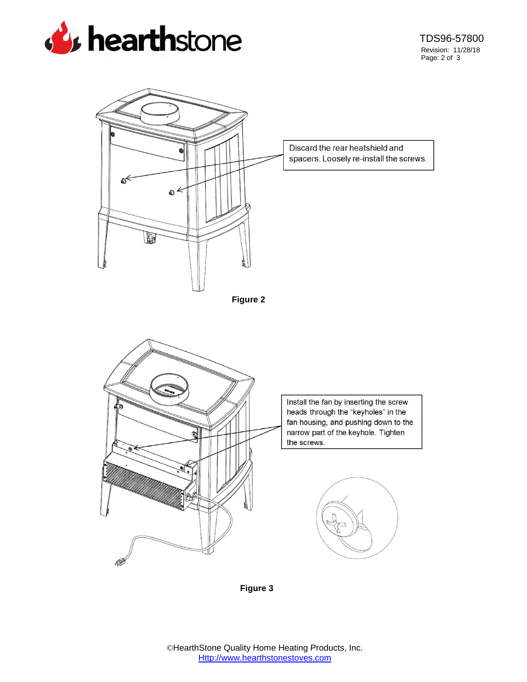



**Figure 3**